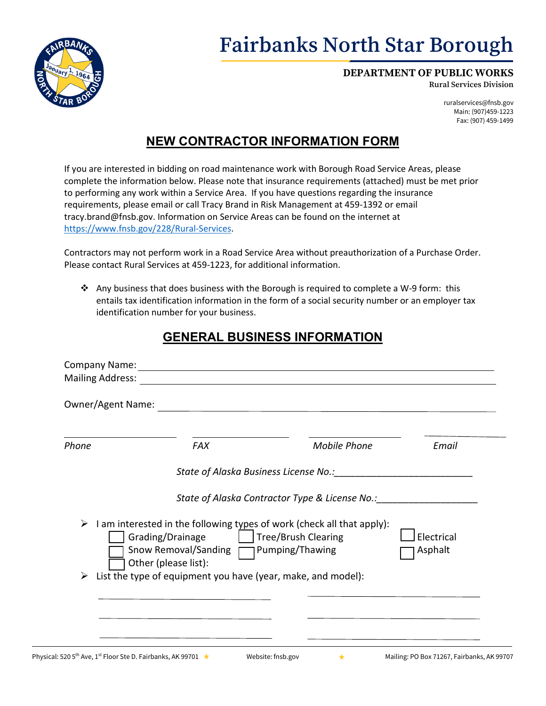

#### **DEPARTMENT OF PUBLIC WORKS**

**Rural Services Division**

ruralservices@fnsb.gov Main: (907)459-1223 Fax: (907) 459-1499

## **NEW CONTRACTOR INFORMATION FORM**

If you are interested in bidding on road maintenance work with Borough Road Service Areas, please complete the information below. Please note that insurance requirements (attached) must be met prior to performing any work within a Service Area. If you have questions regarding the insurance requirements, please email or call Tracy Brand in Risk Management at 459-1392 or email tracy.brand@fnsb.gov. Information on Service Areas can be found on the internet at [https://www.fnsb.gov/228/Rural-Services.](https://www.fnsb.gov/228/Rural-Services)

Contractors may not perform work in a Road Service Area without preauthorization of a Purchase Order. Please contact Rural Services at 459-1223, for additional information.

Any business that does business with the Borough is required to complete a W-9 form: this entails tax identification information in the form of a social security number or an employer tax identification number for your business.

### **GENERAL BUSINESS INFORMATION**

| Owner/Agent Name: |                                                                                    |                                                                                                 |                       |
|-------------------|------------------------------------------------------------------------------------|-------------------------------------------------------------------------------------------------|-----------------------|
| Phone             | <b>FAX</b>                                                                         | <b>Mobile Phone</b>                                                                             | Email                 |
|                   |                                                                                    | State of Alaska Business License No.: State of Alaska Business License No.:                     |                       |
| ➤                 |                                                                                    | State of Alaska Contractor Type & License No.: _________________________________                |                       |
|                   | Grading/Drainage<br>Snow Removal/Sanding   Pumping/Thawing<br>Other (please list): | I am interested in the following types of work (check all that apply):<br>  Tree/Brush Clearing | Electrical<br>Asphalt |
|                   | List the type of equipment you have (year, make, and model):                       |                                                                                                 |                       |

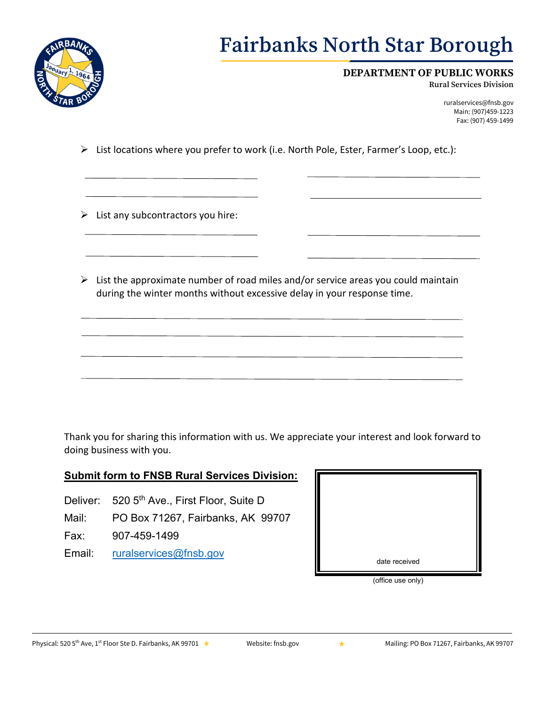

# **Fairbanks North Star Borough**

### **DEPARTMENT OF PUBLIC WORKS**

**Rural Services Division**

ruralservices@fnsb.gov Main: (907)459-1223 Fax: (907) 459-1499

- $\triangleright$  List locations where you prefer to work (i.e. North Pole, Ester, Farmer's Loop, etc.):
- $\triangleright$  List any subcontractors you hire:
- $\triangleright$  List the approximate number of road miles and/or service areas you could maintain during the winter months without excessive delay in your response time.

Thank you for sharing this information with us. We appreciate your interest and look forward to doing business with you.

### **Submit form to FNSB Rural Services Division:**

- Deliver: 520 5<sup>th</sup> Ave., First Floor, Suite D
- Mail: PO Box 71267, Fairbanks, AK 99707
- Fax: 907-459-1499
- Email: [ruralservices@fnsb.gov](mailto:ruralservices@fnsb.gov) date received



(office use only)

Physical: 520 5<sup>th</sup> Ave, 1<sup>st</sup> Floor Ste D. Fairbanks, AK 99701 ★ [Website:](http://www.fnsb.us/) fnsb.gov **Wailing: PO Box 71267, Fairbanks, AK 99707**